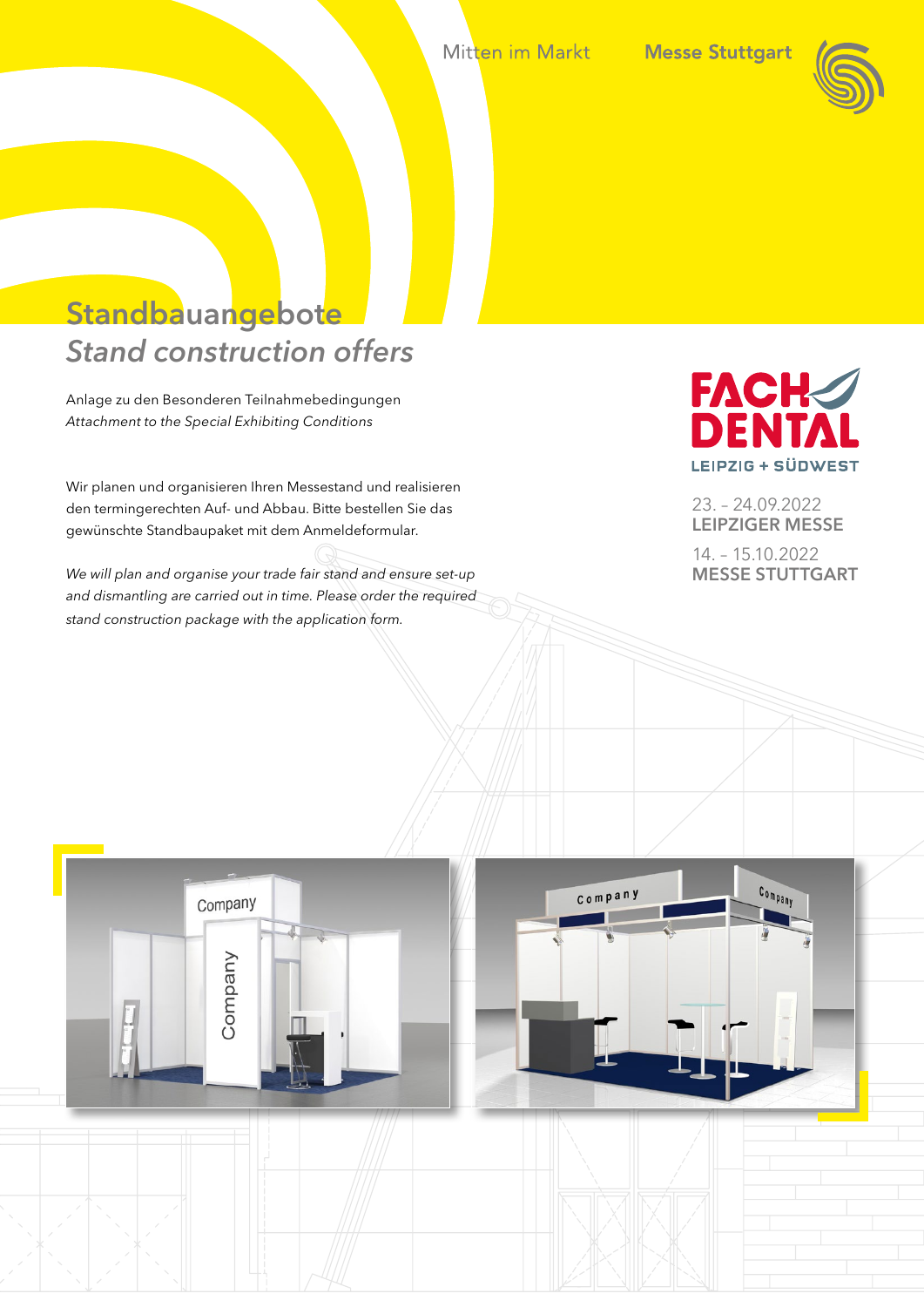Mitten im Markt



# Standbauangebote *Stand construction offers*

Anlage zu den Besonderen Teilnahmebedingungen *Attachment to the Special Exhibiting Conditions*

Wir planen und organisieren Ihren Messestand und realisieren den termingerechten Auf- und Abbau. Bitte bestellen Sie das gewünschte Standbaupaket mit dem Anmeldeformular.

*We will plan and organise your trade fair stand and ensure set-up and dismantling are carried out in time. Please order the required stand construction package with the application form.*



23. – 24.09.2022 LEIPZIGER MESSE

14. – 15.10.2022 MESSE STUTTGART

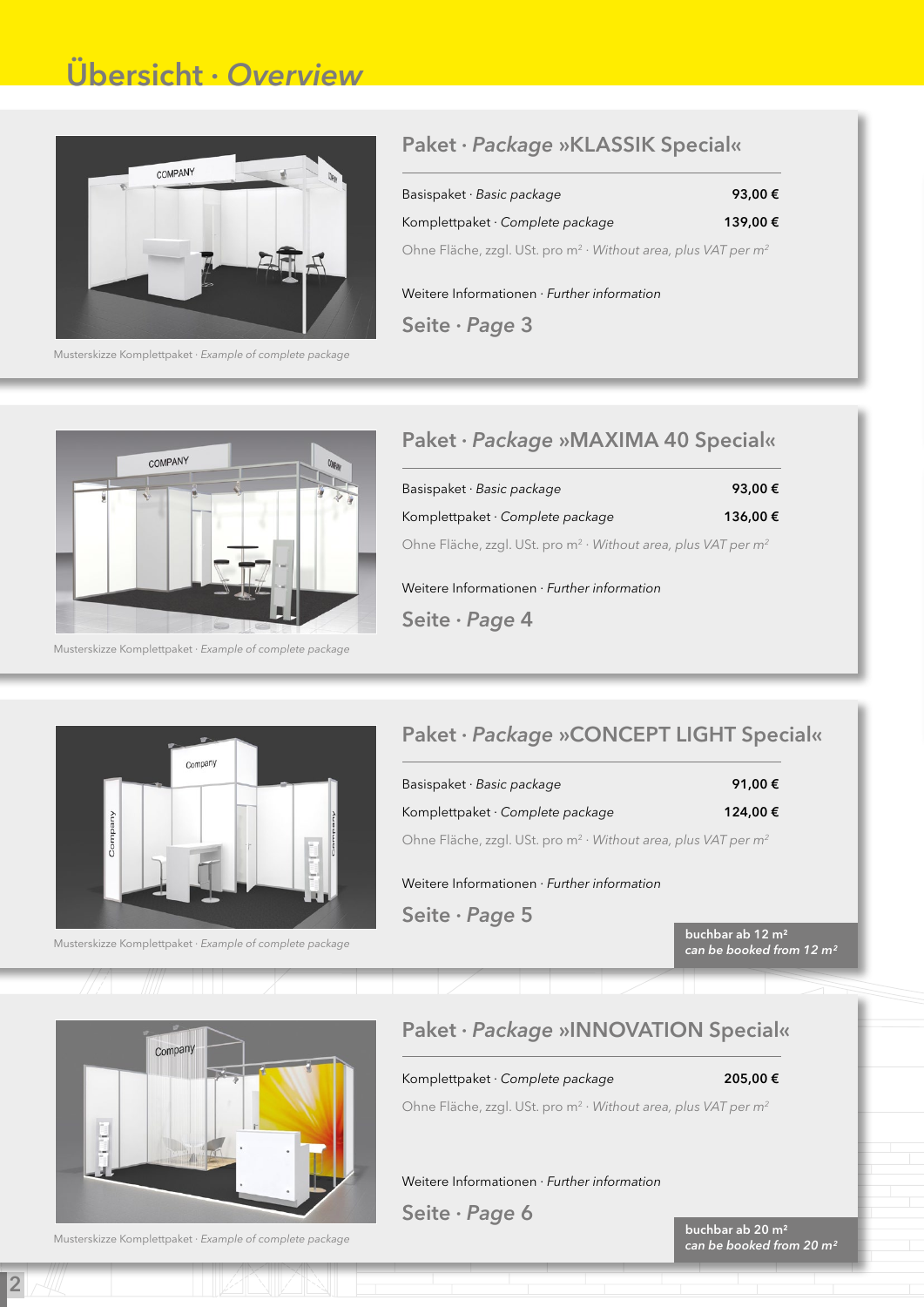# Übersicht · *Overview*



Musterskizze Komplettpaket · *Example of complete package*

### Paket · *Package* »KLASSIK Special«

Basispaket · *Basic package* 93,00 € Komplettpaket · *Complete package* 139,00 € Ohne Fläche, zzgl. USt. pro m2 · *Without area, plus VAT per m2*

Weitere Informationen · *Further information* 

Seite · *Page* 3



Musterskizze Komplettpaket · *Example of complete package*

### Paket · *Package* »MAXIMA 40 Special«

| Basispaket $\cdot$ Basic package                                          | 93,00€  |
|---------------------------------------------------------------------------|---------|
| Komplettpaket $\cdot$ Complete package                                    | 136,00€ |
| Ohne Fläche, zzgl. USt. pro $m^2 \cdot W$ ithout area, plus VAT per $m^2$ |         |

Weitere Informationen · *Further information* Seite · *Page* 4



Musterskizze Komplettpaket · *Example of complete package*

### Paket · *Package* »CONCEPT LIGHT Special«

Basispaket · *Basic package* 91,00 € Komplettpaket · *Complete package* 124,00 €

Ohne Fläche, zzgl. USt. pro m2 · *Without area, plus VAT per m2*

Weitere Informationen · *Further information*

Seite · *Page* 5

buchbar ab 12 m² *can be booked from 12 m²*



Musterskizze Komplettpaket · *Example of complete package*

2

### Paket · *Package* »INNOVATION Special«

Komplettpaket · *Complete package* 205,00 €

Ohne Fläche, zzgl. USt. pro m2 · *Without area, plus VAT per m2*

Weitere Informationen · *Further information*

Seite · *Page* 6

buchbar ab 20 m² *can be booked from 20 m²*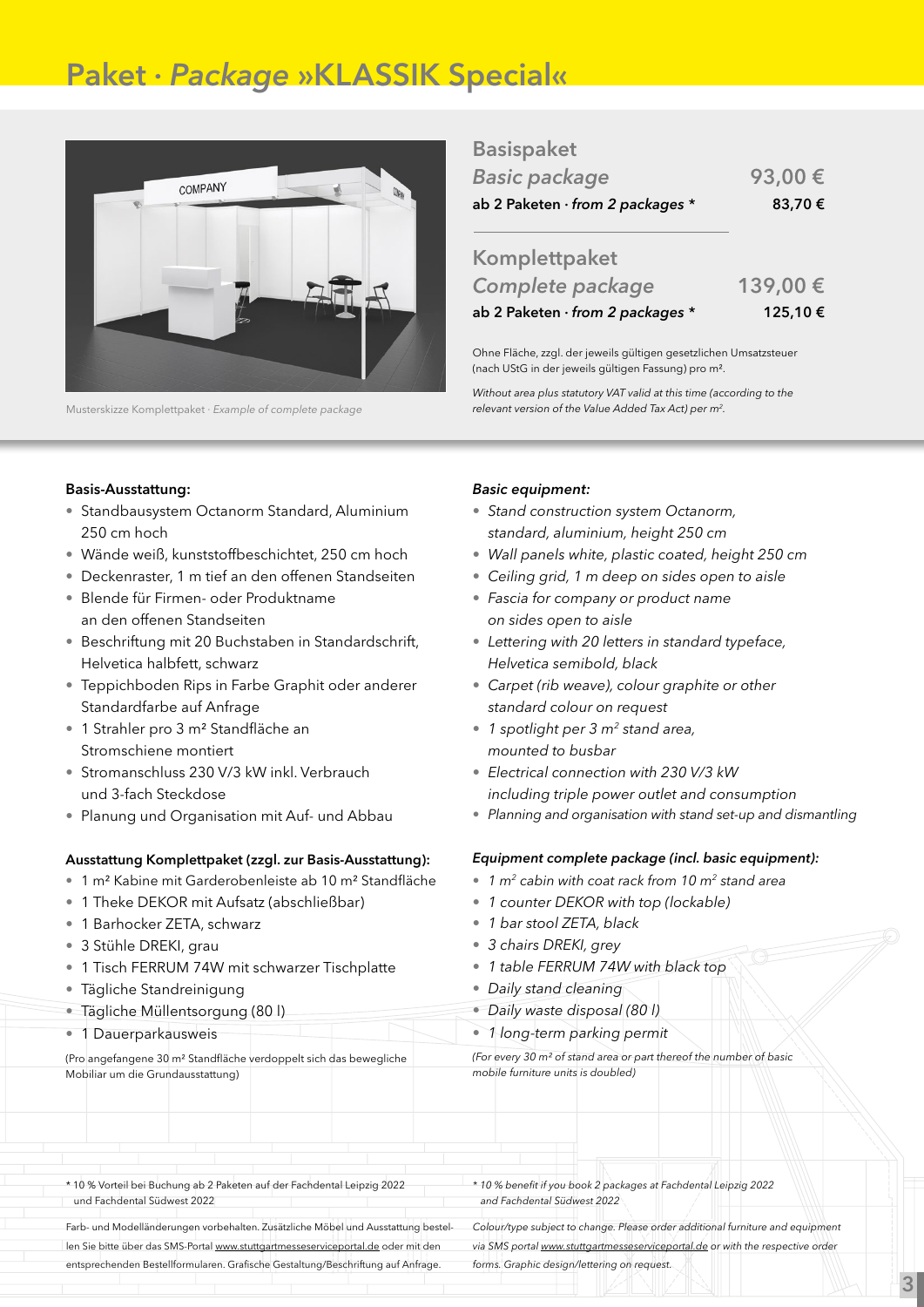# Paket · *Package* »KLASSIK Special«



Musterskizze Komplettpaket · *Example of complete package*

| <b>Basispaket</b> |
|-------------------|
|-------------------|

| <b>Basic package</b>                     | 93,00€ |
|------------------------------------------|--------|
| ab 2 Paketen $\cdot$ from 2 packages $*$ | 83,70€ |

| Complete package                 | 139,00€ |
|----------------------------------|---------|
| ab 2 Paketen · from 2 packages * | 125,10€ |

Ohne Fläche, zzgl. der jeweils gültigen gesetzlichen Umsatzsteuer (nach UStG in der jeweils gültigen Fassung) pro m².

*Without area plus statutory VAT valid at this time (according to the relevant version of the Value Added Tax Act) per m2.*

### Basis-Ausstattung:

- Standbausystem Octanorm Standard, Aluminium 250 cm hoch
- Wände weiß, kunststoffbeschichtet, 250 cm hoch
- Deckenraster, 1 m tief an den offenen Standseiten
- Blende für Firmen- oder Produktname an den offenen Standseiten
- Beschriftung mit 20 Buchstaben in Standardschrift, Helvetica halbfett, schwarz
- Teppichboden Rips in Farbe Graphit oder anderer Standardfarbe auf Anfrage
- 1 Strahler pro 3 m² Standfläche an Stromschiene montiert
- Stromanschluss 230 V/3 kW inkl. Verbrauch und 3-fach Steckdose
- Planung und Organisation mit Auf- und Abbau

### Ausstattung Komplettpaket (zzgl. zur Basis-Ausstattung):

- 1 m² Kabine mit Garderobenleiste ab 10 m² Standfläche
- 1 Theke DEKOR mit Aufsatz (abschließbar)
- 1 Barhocker ZETA, schwarz
- 3 Stühle DREKI, grau
- 1 Tisch FERRUM 74W mit schwarzer Tischplatte
- Tägliche Standreinigung
- Tägliche Müllentsorgung (80 l)
- 1 Dauerparkausweis

(Pro angefangene 30 m² Standfläche verdoppelt sich das bewegliche Mobiliar um die Grundausstattung)

### *Basic equipment:*

- *• Stand construction system Octanorm, standard, aluminium, height 250 cm*
- *• Wall panels white, plastic coated, height 250 cm*
- *• Ceiling grid, 1 m deep on sides open to aisle*
- *• Fascia for company or product name on sides open to aisle*
- *• Lettering with 20 letters in standard typeface, Helvetica semibold, black*
- *• Carpet (rib weave), colour graphite or other standard colour on request*
- *• 1 spotlight per 3 m2 stand area, mounted to busbar*
- *• Electrical connection with 230 V/3 kW including triple power outlet and consumption*
- • *Planning and organisation with stand set-up and dismantling*

### *Equipment complete package (incl. basic equipment):*

- *• 1 m2 cabin with coat rack from 10 m2 stand area*
- *• 1 counter DEKOR with top (lockable)*
- *• 1 bar stool ZETA, black*
- *• 3 chairs DREKI, grey*
- *• 1 table FERRUM 74W with black top*
- *• Daily stand cleaning*
- *• Daily waste disposal (80 l)*
- *• 1 long-term parking permit*

*(For every 30 m² of stand area or part thereof the number of basic mobile furniture units is doubled)*

\* 10 % Vorteil bei Buchung ab 2 Paketen auf der Fachdental Leipzig 2022 und Fachdental Südwest 2022

Farb- und Modelländerungen vorbehalten. Zusätzliche Möbel und Ausstattung bestellen Sie bitte über das SMS-Portal www.stuttgartmesseserviceportal.de oder mit den entsprechenden Bestellformularen. Grafische Gestaltung/Beschriftung auf Anfrage.

*\* 10 % benefit if you book 2 packages at Fachdental Leipzig 2022 and Fachdental Südwest 2022*

*Colour/type subject to change. Please order additional furniture and equipment via SMS portal www.stuttgartmesseserviceportal.de or with the respective order forms. Graphic design/lettering on request.*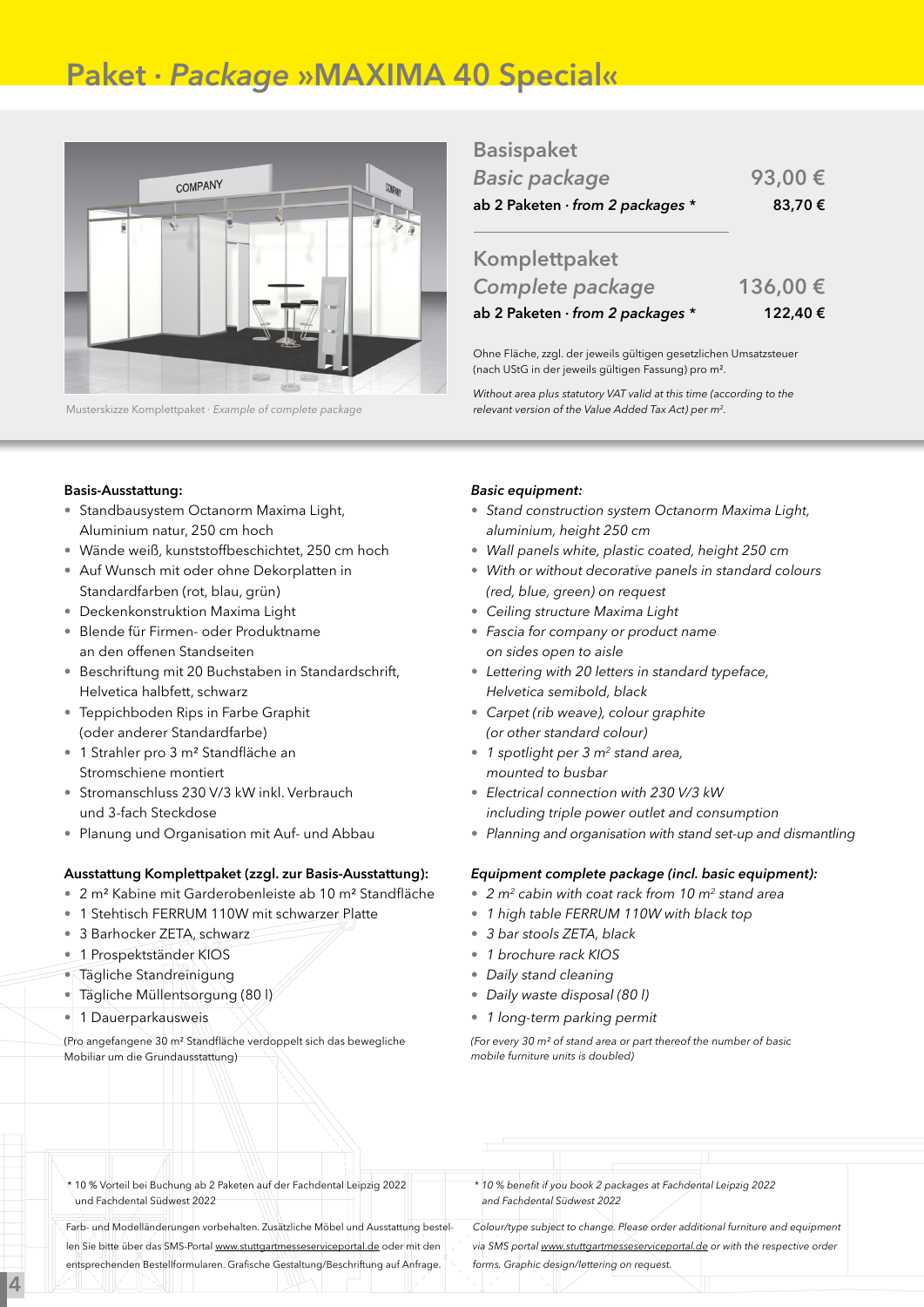# Paket · *Package* »MAXIMA 40 Special«



Musterskizze Komplettpaket · *Example of complete package*

### Basispaket

| <b>Basic package</b>                     | 93,00€ |
|------------------------------------------|--------|
| ab 2 Paketen $\cdot$ from 2 packages $*$ | 83,70€ |

| ab 2 Paketen · from 2 packages * | 122,40€ |
|----------------------------------|---------|
| Complete package                 | 136,00€ |
| Komplettpaket                    |         |

Ohne Fläche, zzgl. der jeweils gültigen gesetzlichen Umsatzsteuer (nach UStG in der jeweils gültigen Fassung) pro m².

*Without area plus statutory VAT valid at this time (according to the relevant version of the Value Added Tax Act) per m2.*

### Basis-Ausstattung:

- Standbausystem Octanorm Maxima Light, Aluminium natur, 250 cm hoch
- Wände weiß, kunststoffbeschichtet, 250 cm hoch
- Auf Wunsch mit oder ohne Dekorplatten in Standardfarben (rot, blau, grün)
- Deckenkonstruktion Maxima Light
- Blende für Firmen- oder Produktname an den offenen Standseiten
- Beschriftung mit 20 Buchstaben in Standardschrift, Helvetica halbfett, schwarz
- Teppichboden Rips in Farbe Graphit (oder anderer Standardfarbe)
- 1 Strahler pro 3 m² Standfläche an Stromschiene montiert
- Stromanschluss 230 V/3 kW inkl. Verbrauch und 3-fach Steckdose
- Planung und Organisation mit Auf- und Abbau

### Ausstattung Komplettpaket (zzgl. zur Basis-Ausstattung):

- 2 m² Kabine mit Garderobenleiste ab 10 m² Standfläche
- 1 Stehtisch FERRUM 110W mit schwarzer Platte
- 3 Barhocker ZETA, schwarz
- 1 Prospektständer KIOS
- Tägliche Standreinigung
- Tägliche Müllentsorgung (80 l)
- 1 Dauerparkausweis

4

(Pro angefangene 30 m² Standfläche verdoppelt sich das bewegliche Mobiliar um die Grundausstattung)

### *Basic equipment:*

- *• Stand construction system Octanorm Maxima Light, aluminium, height 250 cm*
- *• Wall panels white, plastic coated, height 250 cm*
- *• With or without decorative panels in standard colours (red, blue, green) on request*
- *• Ceiling structure Maxima Light*
- *• Fascia for company or product name on sides open to aisle*
- *• Lettering with 20 letters in standard typeface, Helvetica semibold, black*
- *• Carpet (rib weave), colour graphite (or other standard colour)*
- *• 1 spotlight per 3 m2 stand area, mounted to busbar*
- *• Electrical connection with 230 V/3 kW including triple power outlet and consumption*
- • *Planning and organisation with stand set-up and dismantling*

#### *Equipment complete package (incl. basic equipment):*

- *• 2 m2 cabin with coat rack from 10 m2 stand area*
- *• 1 high table FERRUM 110W with black top*
- *• 3 bar stools ZETA, black*
- *• 1 brochure rack KIOS*
- *• Daily stand cleaning*
- *• Daily waste disposal (80 l)*
- *• 1 long-term parking permit*

*(For every 30 m² of stand area or part thereof the number of basic mobile furniture units is doubled)*

\* 10 % Vorteil bei Buchung ab 2 Paketen auf der Fachdental Leipzig 2022 und Fachdental Südwest 2022

Farb- und Modelländerungen vorbehalten. Zusätzliche Möbel und Ausstattung bestellen Sie bitte über das SMS-Portal www.stuttgartmesseserviceportal.de oder mit den entsprechenden Bestellformularen. Grafische Gestaltung/Beschriftung auf Anfrage.

*\* 10 % benefit if you book 2 packages at Fachdental Leipzig 2022 and Fachdental Südwest 2022*

*Colour/type subject to change. Please order additional furniture and equipment via SMS portal www.stuttgartmesseserviceportal.de or with the respective order forms. Graphic design/lettering on request.*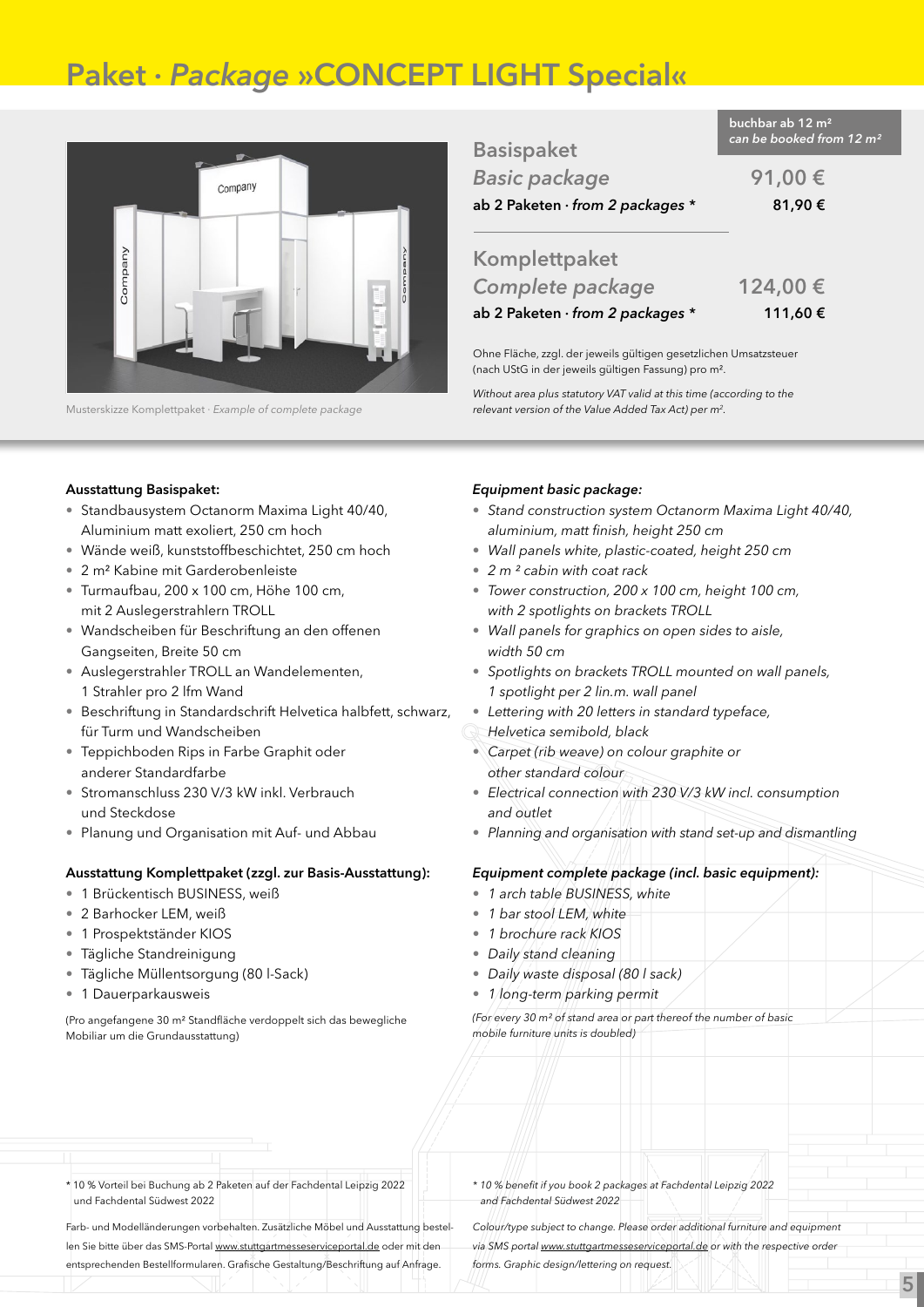# Paket · *Package* »CONCEPT LIGHT Special«



Musterskizze Komplettpaket · *Example of complete package*

| <b>Basispaket</b>                        | can be booked from 12 m <sup>2</sup> |
|------------------------------------------|--------------------------------------|
| <b>Basic package</b>                     | 91,00€                               |
| ab 2 Paketen $\cdot$ from 2 packages $*$ | 81,90€                               |
|                                          |                                      |

buchbar ab 12 m²

### Komplettpaket *Complete package* 124,00 € ab 2 Paketen · *from 2 packages \** 111,60 €

Ohne Fläche, zzgl. der jeweils gültigen gesetzlichen Umsatzsteuer (nach UStG in der jeweils gültigen Fassung) pro m².

*Without area plus statutory VAT valid at this time (according to the relevant version of the Value Added Tax Act) per m2.*

#### Ausstattung Basispaket:

- Standbausystem Octanorm Maxima Light 40/40, Aluminium matt exoliert, 250 cm hoch
- Wände weiß, kunststoffbeschichtet, 250 cm hoch
- 2 m² Kabine mit Garderobenleiste
- Turmaufbau, 200 x 100 cm, Höhe 100 cm, mit 2 Auslegerstrahlern TROLL
- Wandscheiben für Beschriftung an den offenen Gangseiten, Breite 50 cm
- Auslegerstrahler TROLL an Wandelementen, 1 Strahler pro 2 lfm Wand
- Beschriftung in Standardschrift Helvetica halbfett, schwarz, für Turm und Wandscheiben
- Teppichboden Rips in Farbe Graphit oder anderer Standardfarbe
- Stromanschluss 230 V/3 kW inkl. Verbrauch und Steckdose
- Planung und Organisation mit Auf- und Abbau

### Ausstattung Komplettpaket (zzgl. zur Basis-Ausstattung):

- 1 Brückentisch BUSINESS, weiß
- 2 Barhocker LEM, weiß
- 1 Prospektständer KIOS
- Tägliche Standreinigung
- Tägliche Müllentsorgung (80 l-Sack)
- 1 Dauerparkausweis

(Pro angefangene 30 m² Standfläche verdoppelt sich das bewegliche Mobiliar um die Grundausstattung)

### *Equipment basic package:*

- • *Stand construction system Octanorm Maxima Light 40/40, aluminium, matt finish, height 250 cm*
- • *Wall panels white, plastic-coated, height 250 cm*
- • *2 m ² cabin with coat rack*
- • *Tower construction, 200 x 100 cm, height 100 cm, with 2 spotlights on brackets TROLL*
- • *Wall panels for graphics on open sides to aisle, width 50 cm*
- • *Spotlights on brackets TROLL mounted on wall panels, 1 spotlight per 2 lin.m. wall panel*
- *• Lettering with 20 letters in standard typeface,*
- *Helvetica semibold, black*
- • *Carpet (rib weave) on colour graphite or other standard colour*
- • *Electrical connection with 230 V/3 kW incl. consumption and outlet*
- • *Planning and organisation with stand set-up and dismantling*

#### *Equipment complete package (incl. basic equipment):*

- *1 arch table BUSINESS, white*
- 1 bar stool LEM, white
- *1 brochure rack KIOS*
- • *Daily stand cleaning*
- • *Daily waste disposal (80 l sack)*
- • *1 long-term parking permit*

*(For every 30 m² of stand area or part thereof the number of basic mobile furniture units is doubled)*

\* 10 % Vorteil bei Buchung ab 2 Paketen auf der Fachdental Leipzig 2022 und Fachdental Südwest 2022

Farb- und Modelländerungen vorbehalten. Zusätzliche Möbel und Ausstattung bestellen Sie bitte über das SMS-Portal www.stuttgartmesseserviceportal.de oder mit den entsprechenden Bestellformularen. Grafische Gestaltung/Beschriftung auf Anfrage.

*\* 10 % benefit if you book 2 packages at Fachdental Leipzig 2022 and Fachdental Südwest 2022*

*Colour/type subject to change. Please order additional furniture and equipment via SMS portal www.stuttgartmesseserviceportal.de or with the respective order forms. Graphic design/lettering on request.*

5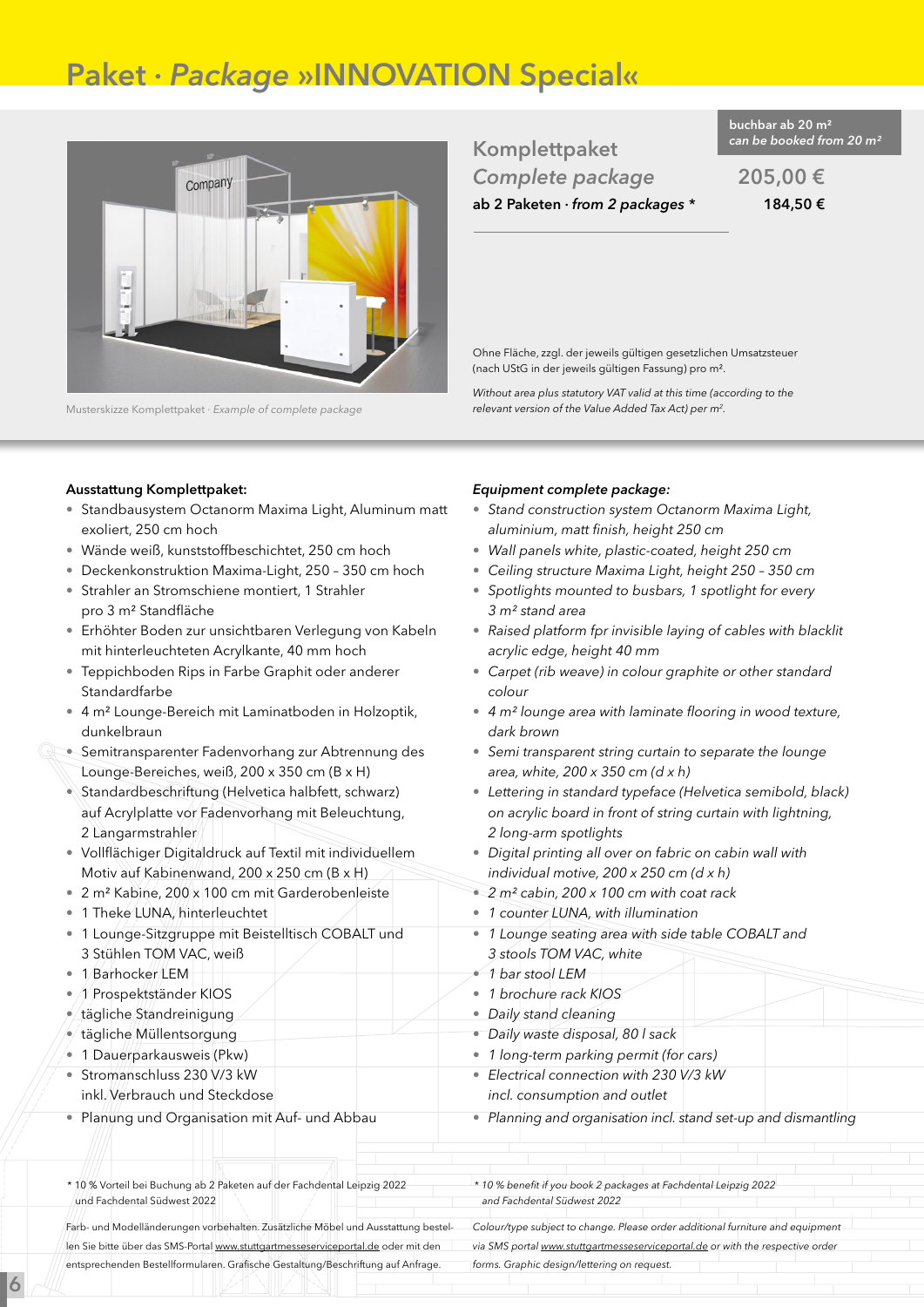# Paket · *Package* »INNOVATION Special«



Musterskizze Komplettpaket · *Example of complete package*

*can be booked from 20 m²* Komplettpaket *Complete package* 205,00 € ab 2 Paketen · *from 2 packages \** 184,50 €

buchbar ab 20 m²

Ohne Fläche, zzgl. der jeweils gültigen gesetzlichen Umsatzsteuer (nach UStG in der jeweils gültigen Fassung) pro m².

*Without area plus statutory VAT valid at this time (according to the relevant version of the Value Added Tax Act) per m2.*

### Ausstattung Komplettpaket:

- Standbausystem Octanorm Maxima Light, Aluminum matt exoliert, 250 cm hoch
- Wände weiß, kunststoffbeschichtet, 250 cm hoch
- Deckenkonstruktion Maxima-Light, 250 350 cm hoch
- Strahler an Stromschiene montiert, 1 Strahler pro 3 m² Standfläche
- Erhöhter Boden zur unsichtbaren Verlegung von Kabeln mit hinterleuchteten Acrylkante, 40 mm hoch
- Teppichboden Rips in Farbe Graphit oder anderer Standardfarbe
- 4 m² Lounge-Bereich mit Laminatboden in Holzoptik, dunkelbraun
- Semitransparenter Fadenvorhang zur Abtrennung des Lounge-Bereiches, weiß, 200 x 350 cm (B x H)
- Standardbeschriftung (Helvetica halbfett, schwarz) auf Acrylplatte vor Fadenvorhang mit Beleuchtung, 2 Langarmstrahler
- Vollflächiger Digitaldruck auf Textil mit individuellem Motiv auf Kabinenwand, 200 x 250 cm (B x H)
- 2 m² Kabine, 200 x 100 cm mit Garderobenleiste
- 1 Theke LUNA, hinterleuchtet
- 1 Lounge-Sitzgruppe mit Beistelltisch COBALT und 3 Stühlen TOM VAC, weiß
- 1 Barhocker LEM

6

- 1 Prospektständer KIOS
- $\epsilon$ /tägliche Standreinigung
- tägliche Müllentsorgung
- 1 Dauerparkausweis (Pkw)
- Stromanschluss 230 V/3 kW inkl. Verbrauch und Steckdose
- Planung und Organisation mit Auf- und Abbau
- \* 10 % Vorteil bei Buchung ab 2 Paketen auf der Fachdental Leipzig 2022 und Fachdental Südwest 2022

Farb- und Modelländerungen vorbehalten. Zusätzliche Möbel und Ausstattung bestellen Sie bitte über das SMS-Portal www.stuttgartmesseserviceportal.de oder mit den entsprechenden Bestellformularen. Grafische Gestaltung/Beschriftung auf Anfrage.

### *Equipment complete package:*

- • *Stand construction system Octanorm Maxima Light, aluminium, matt finish, height 250 cm*
- *Wall panels white, plastic-coated, height 250 cm*
- *Ceiling structure Maxima Light, height 250 350 cm*
- • *Spotlights mounted to busbars, 1 spotlight for every 3 m² stand area*
- • *Raised platform fpr invisible laying of cables with blacklit acrylic edge, height 40 mm*
- • *Carpet (rib weave) in colour graphite or other standard colour*
- • *4 m² lounge area with laminate flooring in wood texture, dark brown*
- • *Semi transparent string curtain to separate the lounge area, white, 200 x 350 cm (d x h)*
- • *Lettering in standard typeface (Helvetica semibold, black) on acrylic board in front of string curtain with lightning, 2 long-arm spotlights*
- • *Digital printing all over on fabric on cabin wall with individual motive, 200 x 250 cm (d x h)*
- *2 m² cabin, 200 x 100 cm with coat rack*
- *1 counter LUNA, with illumination*
- • *1 Lounge seating area with side table COBALT and 3 stools TOM VAC, white*
- *1 bar stool LEM*
- • *1 brochure rack KIOS*
- *Daily stand cleaning*
- *Daily waste disposal, 80 l sack*
- *1 long-term parking permit (for cars)*
- • *Electrical connection with 230 V/3 kW*
- *incl. consumption and outlet*
- • *Planning and organisation incl. stand set-up and dismantling*

*\* 10 % benefit if you book 2 packages at Fachdental Leipzig 2022 and Fachdental Südwest 2022*

*Colour/type subject to change. Please order additional furniture and equipment via SMS portal www.stuttgartmesseserviceportal.de or with the respective order forms. Graphic design/lettering on request.*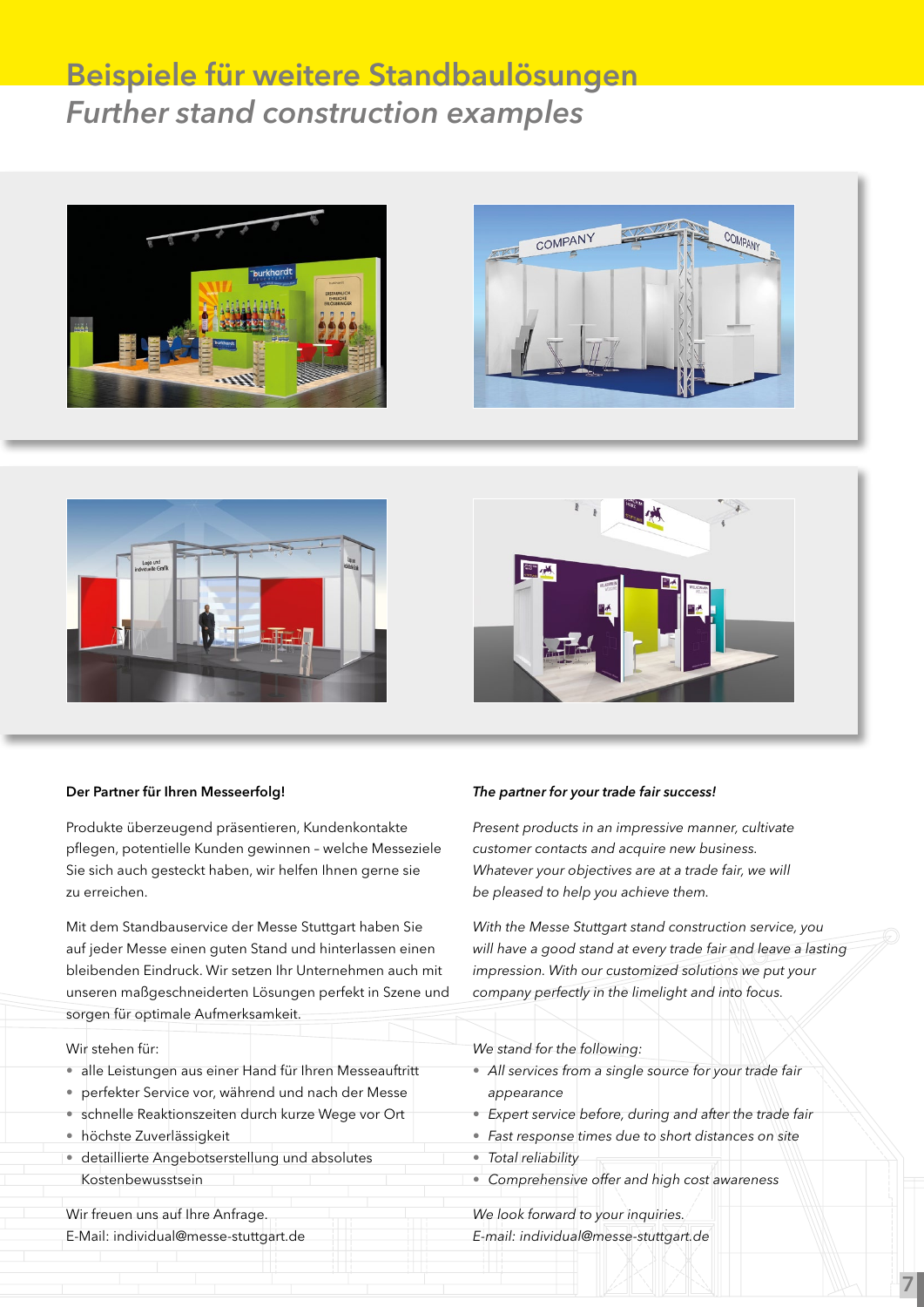# Beispiele für weitere Standbaulösungen *Further stand construction examples*









### Der Partner für Ihren Messeerfolg!

Produkte überzeugend präsentieren, Kundenkontakte pflegen, potentielle Kunden gewinnen – welche Messeziele Sie sich auch gesteckt haben, wir helfen Ihnen gerne sie zu erreichen.

Mit dem Standbauservice der Messe Stuttgart haben Sie auf jeder Messe einen guten Stand und hinterlassen einen bleibenden Eindruck. Wir setzen Ihr Unternehmen auch mit unseren maßgeschneiderten Lösungen perfekt in Szene und sorgen für optimale Aufmerksamkeit.

### Wir stehen für:

- alle Leistungen aus einer Hand für Ihren Messeauftritt
- perfekter Service vor, während und nach der Messe
- schnelle Reaktionszeiten durch kurze Wege vor Ort
- höchste Zuverlässigkeit
- detaillierte Angebotserstellung und absolutes Kostenbewusstsein

Wir freuen uns auf Ihre Anfrage.

E-Mail: individual@messe-stuttgart.de

### *The partner for your trade fair success!*

*Present products in an impressive manner, cultivate customer contacts and acquire new business. Whatever your objectives are at a trade fair, we will be pleased to help you achieve them.*

*With the Messe Stuttgart stand construction service, you will have a good stand at every trade fair and leave a lasting impression. With our customized solutions we put your company perfectly in the limelight and into focus.*

#### *We stand for the following:*

- *All services from a single source for your trade fair appearance*
- *Expert service before, during and after the trade fair*

7

- *Fast response times due to short distances on site*
- *Total reliability*
- *Comprehensive offer and high cost awareness*

*We look forward to your inquiries. E-mail: individual@messe-stuttgart.de*